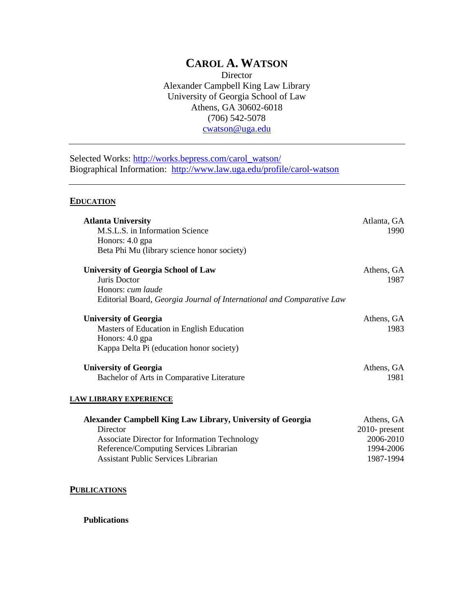# **CAROL A. WATSON**

Director Alexander Campbell King Law Library University of Georgia School of Law Athens, GA 30602-6018 (706) 542-5078 [cwatson@uga.edu](mailto:cwatson@uga.edu)

Selected Works: [http://works.bepress.com/carol\\_watson/](http://works.bepress.com/carol_watson/) Biographical Information: <http://www.law.uga.edu/profile/carol-watson>

## **EDUCATION**

| <b>Atlanta University</b>                                             | Atlanta, GA      |
|-----------------------------------------------------------------------|------------------|
| M.S.L.S. in Information Science                                       | 1990             |
| Honors: 4.0 gpa                                                       |                  |
| Beta Phi Mu (library science honor society)                           |                  |
| <b>University of Georgia School of Law</b>                            | Athens, GA       |
| Juris Doctor                                                          | 1987             |
| Honors: cum laude                                                     |                  |
| Editorial Board, Georgia Journal of International and Comparative Law |                  |
| <b>University of Georgia</b>                                          | Athens, GA       |
| Masters of Education in English Education                             | 1983             |
| Honors: 4.0 gpa                                                       |                  |
| Kappa Delta Pi (education honor society)                              |                  |
| <b>University of Georgia</b>                                          | Athens, GA       |
| Bachelor of Arts in Comparative Literature                            | 1981             |
| LAW LIBRARY EXPERIENCE                                                |                  |
|                                                                       |                  |
| <b>Alexander Campbell King Law Library, University of Georgia</b>     | Athens, GA       |
| Director                                                              | $2010$ - present |
| <b>Associate Director for Information Technology</b>                  | 2006-2010        |

Reference/Computing Services Librarian 1994-2006 Assistant Public Services Librarian 1987-1994

**PUBLICATIONS**

**Publications**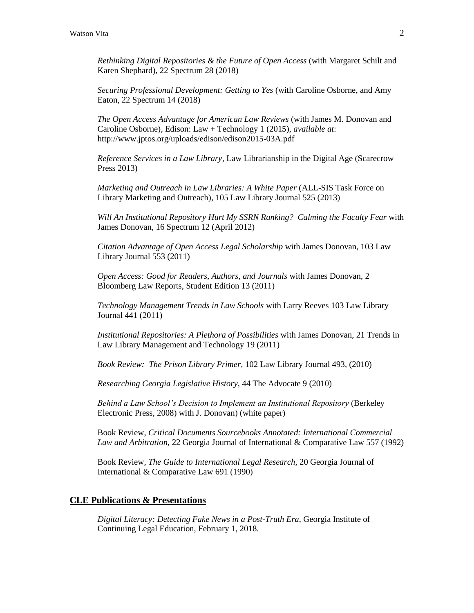*Rethinking Digital Repositories & the Future of Open Access* (with Margaret Schilt and Karen Shephard), 22 Spectrum 28 (2018)

*Securing Professional Development: Getting to Yes* (with Caroline Osborne, and Amy Eaton, 22 Spectrum 14 (2018)

*The Open Access Advantage for American Law Reviews* (with James M. Donovan and Caroline Osborne)*,* Edison: Law + Technology 1 (2015), *available at*: http://www.jptos.org/uploads/edison/edison2015-03A.pdf

*Reference Services in a Law Library*, Law Librarianship in the Digital Age (Scarecrow Press 2013)

*Marketing and Outreach in Law Libraries: A White Paper* (ALL-SIS Task Force on Library Marketing and Outreach)*,* 105 Law Library Journal 525 (2013)

*Will An Institutional Repository Hurt My SSRN Ranking? Calming the Faculty Fear* with James Donovan, 16 Spectrum 12 (April 2012)

*Citation Advantage of Open Access Legal Scholarship* with James Donovan, 103 Law Library Journal 553 (2011)

*Open Access: Good for Readers, Authors, and Journals* with James Donovan, 2 Bloomberg Law Reports, Student Edition 13 (2011)

*Technology Management Trends in Law Schools* with Larry Reeves 103 Law Library Journal 441 (2011)

*Institutional Repositories: A Plethora of Possibilities* with James Donovan, 21 Trends in Law Library Management and Technology 19 (2011)

*Book Review: The Prison Library Primer,* 102 Law Library Journal 493, (2010)

*Researching Georgia Legislative History*, 44 The Advocate 9 (2010)

*Behind a Law School's Decision to Implement an Institutional Repository* (Berkeley Electronic Press, 2008) with J. Donovan) (white paper)

Book Review, *Critical Documents Sourcebooks Annotated: International Commercial Law and Arbitration,* 22 Georgia Journal of International & Comparative Law 557 (1992)

Book Review*, The Guide to International Legal Research,* 20 Georgia Journal of International & Comparative Law 691 (1990)

## **CLE Publications & Presentations**

*Digital Literacy: Detecting Fake News in a Post-Truth Era*, Georgia Institute of Continuing Legal Education, February 1, 2018.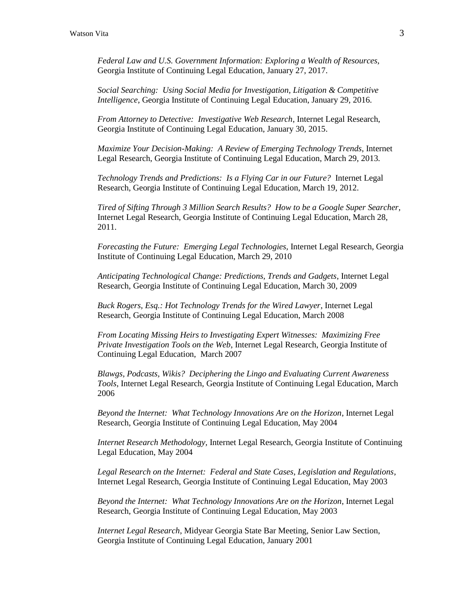*Federal Law and U.S. Government Information: Exploring a Wealth of Resources,*  Georgia Institute of Continuing Legal Education, January 27, 2017.

*Social Searching: Using Social Media for Investigation, Litigation & Competitive Intelligence*, Georgia Institute of Continuing Legal Education, January 29, 2016.

*From Attorney to Detective: Investigative Web Research*, Internet Legal Research, Georgia Institute of Continuing Legal Education, January 30, 2015.

*Maximize Your Decision-Making: A Review of Emerging Technology Trends*, Internet Legal Research, Georgia Institute of Continuing Legal Education, March 29, 2013.

*Technology Trends and Predictions: Is a Flying Car in our Future?* Internet Legal Research, Georgia Institute of Continuing Legal Education, March 19, 2012.

*Tired of Sifting Through 3 Million Search Results? How to be a Google Super Searcher,*  Internet Legal Research, Georgia Institute of Continuing Legal Education, March 28, 2011.

*Forecasting the Future: Emerging Legal Technologies,* Internet Legal Research, Georgia Institute of Continuing Legal Education, March 29, 2010

*Anticipating Technological Change: Predictions, Trends and Gadgets*, Internet Legal Research, Georgia Institute of Continuing Legal Education, March 30, 2009

*Buck Rogers, Esq.: Hot Technology Trends for the Wired Lawyer*, Internet Legal Research, Georgia Institute of Continuing Legal Education, March 2008

*From Locating Missing Heirs to Investigating Expert Witnesses: Maximizing Free Private Investigation Tools on the Web*, Internet Legal Research, Georgia Institute of Continuing Legal Education, March 2007

*Blawgs, Podcasts, Wikis? Deciphering the Lingo and Evaluating Current Awareness Tools*, Internet Legal Research, Georgia Institute of Continuing Legal Education, March 2006

*Beyond the Internet: What Technology Innovations Are on the Horizon*, Internet Legal Research, Georgia Institute of Continuing Legal Education, May 2004

*Internet Research Methodology,* Internet Legal Research, Georgia Institute of Continuing Legal Education, May 2004

*Legal Research on the Internet: Federal and State Cases, Legislation and Regulations*, Internet Legal Research, Georgia Institute of Continuing Legal Education, May 2003

*Beyond the Internet: What Technology Innovations Are on the Horizon*, Internet Legal Research, Georgia Institute of Continuing Legal Education, May 2003

*Internet Legal Research*, Midyear Georgia State Bar Meeting, Senior Law Section, Georgia Institute of Continuing Legal Education, January 2001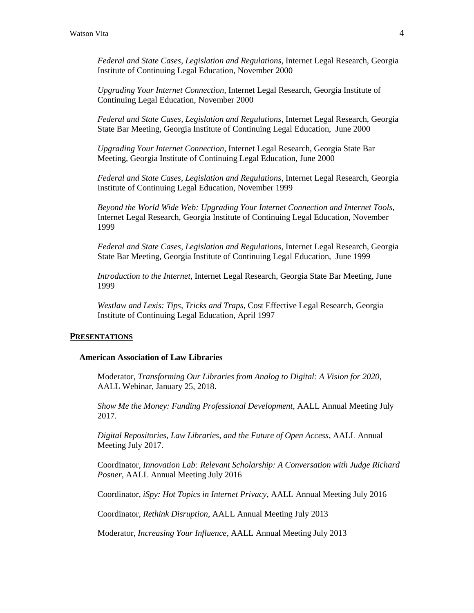*Federal and State Cases, Legislation and Regulations*, Internet Legal Research, Georgia Institute of Continuing Legal Education, November 2000

*Upgrading Your Internet Connection*, Internet Legal Research, Georgia Institute of Continuing Legal Education, November 2000

*Federal and State Cases, Legislation and Regulations*, Internet Legal Research, Georgia State Bar Meeting, Georgia Institute of Continuing Legal Education, June 2000

*Upgrading Your Internet Connection*, Internet Legal Research, Georgia State Bar Meeting, Georgia Institute of Continuing Legal Education, June 2000

*Federal and State Cases, Legislation and Regulations*, Internet Legal Research, Georgia Institute of Continuing Legal Education, November 1999

*Beyond the World Wide Web: Upgrading Your Internet Connection and Internet Tools*, Internet Legal Research, Georgia Institute of Continuing Legal Education, November 1999

*Federal and State Cases, Legislation and Regulations*, Internet Legal Research, Georgia State Bar Meeting, Georgia Institute of Continuing Legal Education, June 1999

*Introduction to the Internet*, Internet Legal Research, Georgia State Bar Meeting, June 1999

*Westlaw and Lexis: Tips, Tricks and Traps*, Cost Effective Legal Research, Georgia Institute of Continuing Legal Education, April 1997

#### **PRESENTATIONS**

## **American Association of Law Libraries**

Moderator, *Transforming Our Libraries from Analog to Digital: A Vision for 2020*, AALL Webinar, January 25, 2018.

*Show Me the Money: Funding Professional Development*, AALL Annual Meeting July 2017.

*Digital Repositories, Law Libraries, and the Future of Open Access*, AALL Annual Meeting July 2017.

Coordinator, *Innovation Lab: Relevant Scholarship: A Conversation with Judge Richard Posner*, AALL Annual Meeting July 2016

Coordinator, *iSpy: Hot Topics in Internet Privacy*, AALL Annual Meeting July 2016

Coordinator, *Rethink Disruption,* AALL Annual Meeting July 2013

Moderator, *Increasing Your Influence*, AALL Annual Meeting July 2013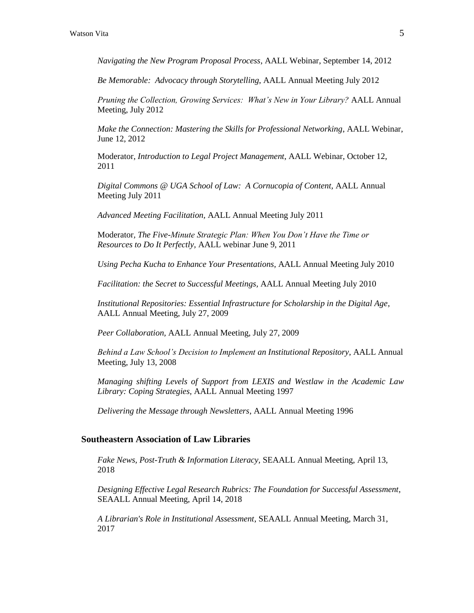*Navigating the New Program Proposal Process*, AALL Webinar, September 14, 2012

*Be Memorable: Advocacy through Storytelling*, AALL Annual Meeting July 2012

*Pruning the Collection, Growing Services: What's New in Your Library?* AALL Annual Meeting, July 2012

*Make the Connection: Mastering the Skills for Professional Networking*, AALL Webinar, June 12, 2012

Moderator, *Introduction to Legal Project Management*, AALL Webinar, October 12, 2011

*Digital Commons @ UGA School of Law: A Cornucopia of Content,* AALL Annual Meeting July 2011

*Advanced Meeting Facilitation,* AALL Annual Meeting July 2011

Moderator*, The Five-Minute Strategic Plan: When You Don't Have the Time or Resources to Do It Perfectly,* AALL webinar June 9, 2011

*Using Pecha Kucha to Enhance Your Presentations*, AALL Annual Meeting July 2010

*Facilitation: the Secret to Successful Meetings,* AALL Annual Meeting July 2010

*Institutional Repositories: Essential Infrastructure for Scholarship in the Digital Age*, AALL Annual Meeting, July 27, 2009

*Peer Collaboration,* AALL Annual Meeting, July 27, 2009

*Behind a Law School's Decision to Implement an Institutional Repository*, AALL Annual Meeting, July 13, 2008

*Managing shifting Levels of Support from LEXIS and Westlaw in the Academic Law Library: Coping Strategies,* AALL Annual Meeting 1997

*Delivering the Message through Newsletters*, AALL Annual Meeting 1996

## **Southeastern Association of Law Libraries**

*Fake News, Post-Truth & Information Literacy,* SEAALL Annual Meeting, April 13, 2018

*Designing Effective Legal Research Rubrics: The Foundation for Successful Assessment*, SEAALL Annual Meeting, April 14, 2018

*A Librarian's Role in Institutional Assessment*, SEAALL Annual Meeting, March 31, 2017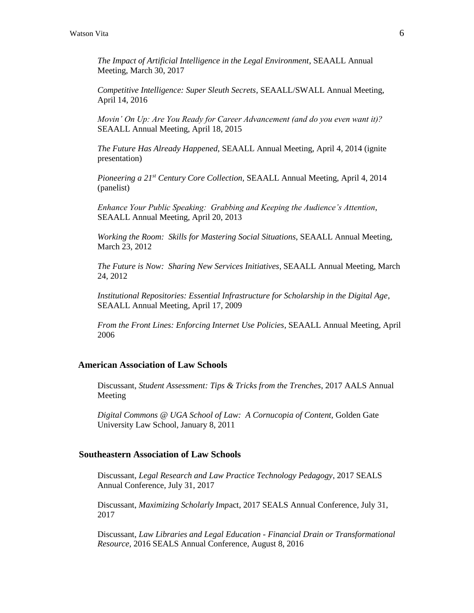*The Impact of Artificial Intelligence in the Legal Environment*, SEAALL Annual Meeting, March 30, 2017

*Competitive Intelligence: Super Sleuth Secrets*, SEAALL/SWALL Annual Meeting, April 14, 2016

*Movin' On Up: Are You Ready for Career Advancement (and do you even want it)?* SEAALL Annual Meeting, April 18, 2015

*The Future Has Already Happened,* SEAALL Annual Meeting, April 4, 2014 (ignite presentation)

*Pioneering a 21st Century Core Collection,* SEAALL Annual Meeting, April 4, 2014 (panelist)

*Enhance Your Public Speaking: Grabbing and Keeping the Audience's Attention*, SEAALL Annual Meeting, April 20, 2013

*Working the Room: Skills for Mastering Social Situations*, SEAALL Annual Meeting, March 23, 2012

*The Future is Now: Sharing New Services Initiatives*, SEAALL Annual Meeting, March 24, 2012

*Institutional Repositories: Essential Infrastructure for Scholarship in the Digital Age*, SEAALL Annual Meeting, April 17, 2009

*From the Front Lines: Enforcing Internet Use Policies*, SEAALL Annual Meeting, April 2006

## **American Association of Law Schools**

Discussant, *Student Assessment: Tips & Tricks from the Trenches*, 2017 AALS Annual Meeting

*Digital Commons @ UGA School of Law: A Cornucopia of Content,* Golden Gate University Law School, January 8, 2011

### **Southeastern Association of Law Schools**

Discussant, *Legal Research and Law Practice Technology Pedagogy*, 2017 SEALS Annual Conference, July 31, 2017

Discussant, *Maximizing Scholarly Imp*act, 2017 SEALS Annual Conference, July 31, 2017

Discussant, *Law Libraries and Legal Education - Financial Drain or Transformational Resource,* 2016 SEALS Annual Conference, August 8, 2016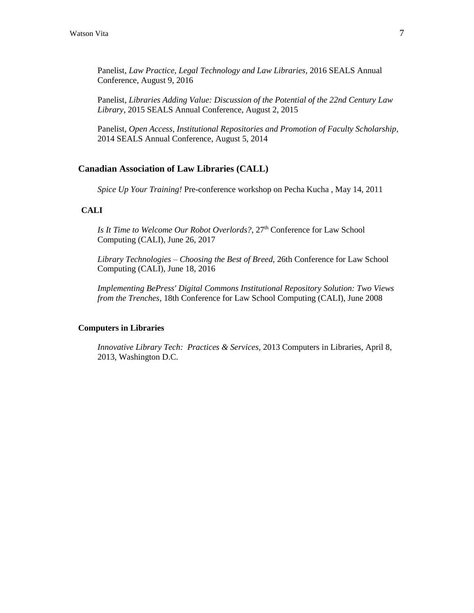Panelist, *Law Practice, Legal Technology and Law Libraries,* 2016 SEALS Annual Conference, August 9, 2016

Panelist, *Libraries Adding Value: Discussion of the Potential of the 22nd Century Law Library*, 2015 SEALS Annual Conference, August 2, 2015

Panelist, *Open Access, Institutional Repositories and Promotion of Faculty Scholarship,*  2014 SEALS Annual Conference, August 5, 2014

## **Canadian Association of Law Libraries (CALL)**

*Spice Up Your Training!* Pre-conference workshop on Pecha Kucha , May 14, 2011

## **CALI**

*Is It Time to Welcome Our Robot Overlords?*, 27<sup>th</sup> Conference for Law School Computing (CALI), June 26, 2017

*Library Technologies – Choosing the Best of Breed,* 26th Conference for Law School Computing (CALI), June 18, 2016

*Implementing BePress' Digital Commons Institutional Repository Solution: Two Views from the Trenches*, 18th Conference for Law School Computing (CALI), June 2008

## **Computers in Libraries**

*Innovative Library Tech: Practices & Services,* 2013 Computers in Libraries, April 8, 2013, Washington D.C.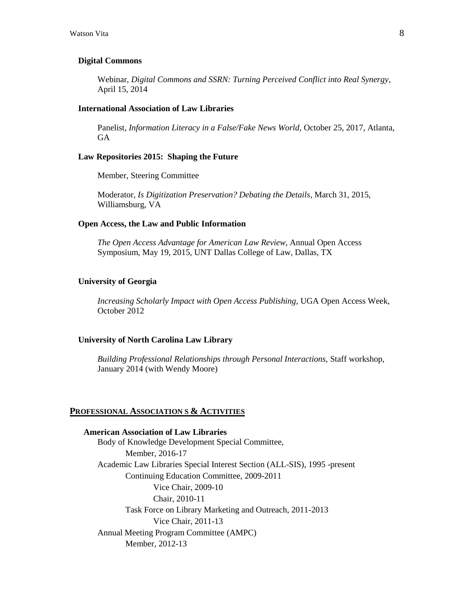#### **Digital Commons**

Webinar, *Digital Commons and SSRN: Turning Perceived Conflict into Real Synergy,* April 15, 2014

#### **International Association of Law Libraries**

Panelist, *Information Literacy in a False/Fake News World,* October 25, 2017, Atlanta, GA

#### **Law Repositories 2015: Shaping the Future**

Member, Steering Committee

Moderator, *Is Digitization Preservation? Debating the Details*, March 31, 2015, Williamsburg, VA

#### **Open Access, the Law and Public Information**

*The Open Access Advantage for American Law Review*, Annual Open Access Symposium, May 19, 2015, UNT Dallas College of Law, Dallas, TX

#### **University of Georgia**

*Increasing Scholarly Impact with Open Access Publishing,* UGA Open Access Week, October 2012

#### **University of North Carolina Law Library**

*Building Professional Relationships through Personal Interactions,* Staff workshop, January 2014 (with Wendy Moore)

#### **PROFESSIONAL ASSOCIATION S & ACTIVITIES**

**American Association of Law Libraries** Body of Knowledge Development Special Committee, Member, 2016-17 Academic Law Libraries Special Interest Section (ALL-SIS), 1995 -present Continuing Education Committee, 2009-2011 Vice Chair, 2009-10 Chair, 2010-11 Task Force on Library Marketing and Outreach, 2011-2013 Vice Chair, 2011-13 Annual Meeting Program Committee (AMPC) Member, 2012-13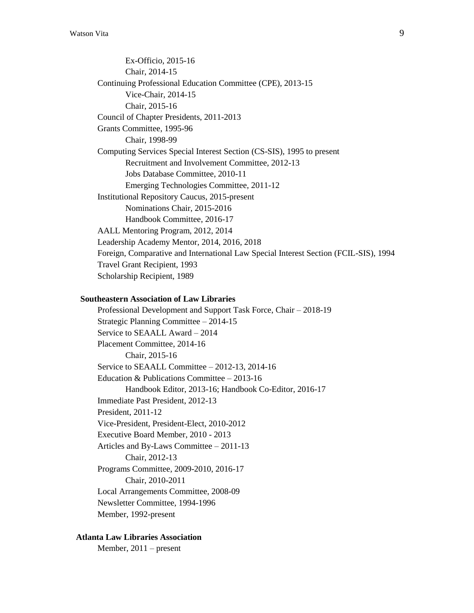Ex-Officio, 2015-16 Chair, 2014-15 Continuing Professional Education Committee (CPE), 2013-15 Vice-Chair, 2014-15 Chair, 2015-16 Council of Chapter Presidents, 2011-2013 Grants Committee, 1995-96 Chair, 1998-99 Computing Services Special Interest Section (CS-SIS), 1995 to present Recruitment and Involvement Committee, 2012-13 Jobs Database Committee, 2010-11 Emerging Technologies Committee, 2011-12 Institutional Repository Caucus, 2015-present Nominations Chair, 2015-2016 Handbook Committee, 2016-17 AALL Mentoring Program, 2012, 2014 Leadership Academy Mentor, 2014, 2016, 2018 Foreign, Comparative and International Law Special Interest Section (FCIL-SIS), 1994 Travel Grant Recipient, 1993 Scholarship Recipient, 1989

## **Southeastern Association of Law Libraries**

Professional Development and Support Task Force, Chair – 2018-19 Strategic Planning Committee – 2014-15 Service to SEAALL Award – 2014 Placement Committee, 2014-16 Chair, 2015-16 Service to SEAALL Committee – 2012-13, 2014-16 Education & Publications Committee – 2013-16 Handbook Editor, 2013-16; Handbook Co-Editor, 2016-17 Immediate Past President, 2012-13 President, 2011-12 Vice-President, President-Elect, 2010-2012 Executive Board Member, 2010 - 2013 Articles and By-Laws Committee – 2011-13 Chair, 2012-13 Programs Committee, 2009-2010, 2016-17 Chair, 2010-2011 Local Arrangements Committee, 2008-09 Newsletter Committee, 1994-1996 Member, 1992-present

#### **Atlanta Law Libraries Association**

Member, 2011 – present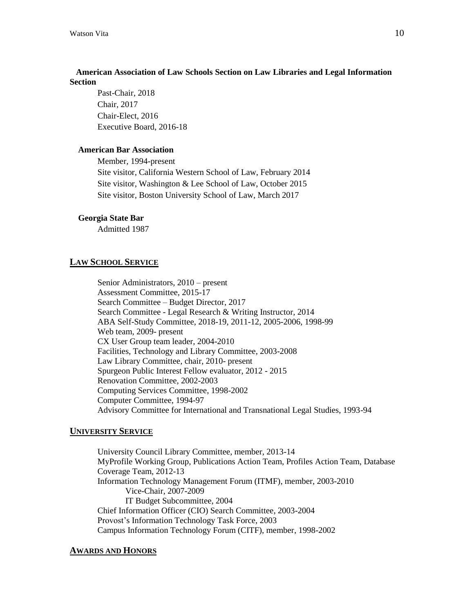## **American Association of Law Schools Section on Law Libraries and Legal Information Section**

Past-Chair, 2018 Chair, 2017 Chair-Elect, 2016 Executive Board, 2016-18

## **American Bar Association**

Member, 1994-present Site visitor, California Western School of Law, February 2014 Site visitor, Washington & Lee School of Law, October 2015 Site visitor, Boston University School of Law, March 2017

#### **Georgia State Bar**

Admitted 1987

## **LAW SCHOOL SERVICE**

Senior Administrators, 2010 – present Assessment Committee, 2015-17 Search Committee – Budget Director, 2017 Search Committee - Legal Research & Writing Instructor, 2014 ABA Self-Study Committee, 2018-19, 2011-12, 2005-2006, 1998-99 Web team, 2009- present CX User Group team leader, 2004-2010 Facilities, Technology and Library Committee, 2003-2008 Law Library Committee, chair, 2010- present Spurgeon Public Interest Fellow evaluator, 2012 - 2015 Renovation Committee, 2002-2003 Computing Services Committee, 1998-2002 Computer Committee, 1994-97 Advisory Committee for International and Transnational Legal Studies, 1993-94

## **UNIVERSITY SERVICE**

University Council Library Committee, member, 2013-14 MyProfile Working Group, Publications Action Team, Profiles Action Team, Database Coverage Team, 2012-13 Information Technology Management Forum (ITMF), member, 2003-2010 Vice-Chair, 2007-2009 IT Budget Subcommittee, 2004 Chief Information Officer (CIO) Search Committee, 2003-2004 Provost's Information Technology Task Force, 2003 Campus Information Technology Forum (CITF), member, 1998-2002

#### **AWARDS AND HONORS**